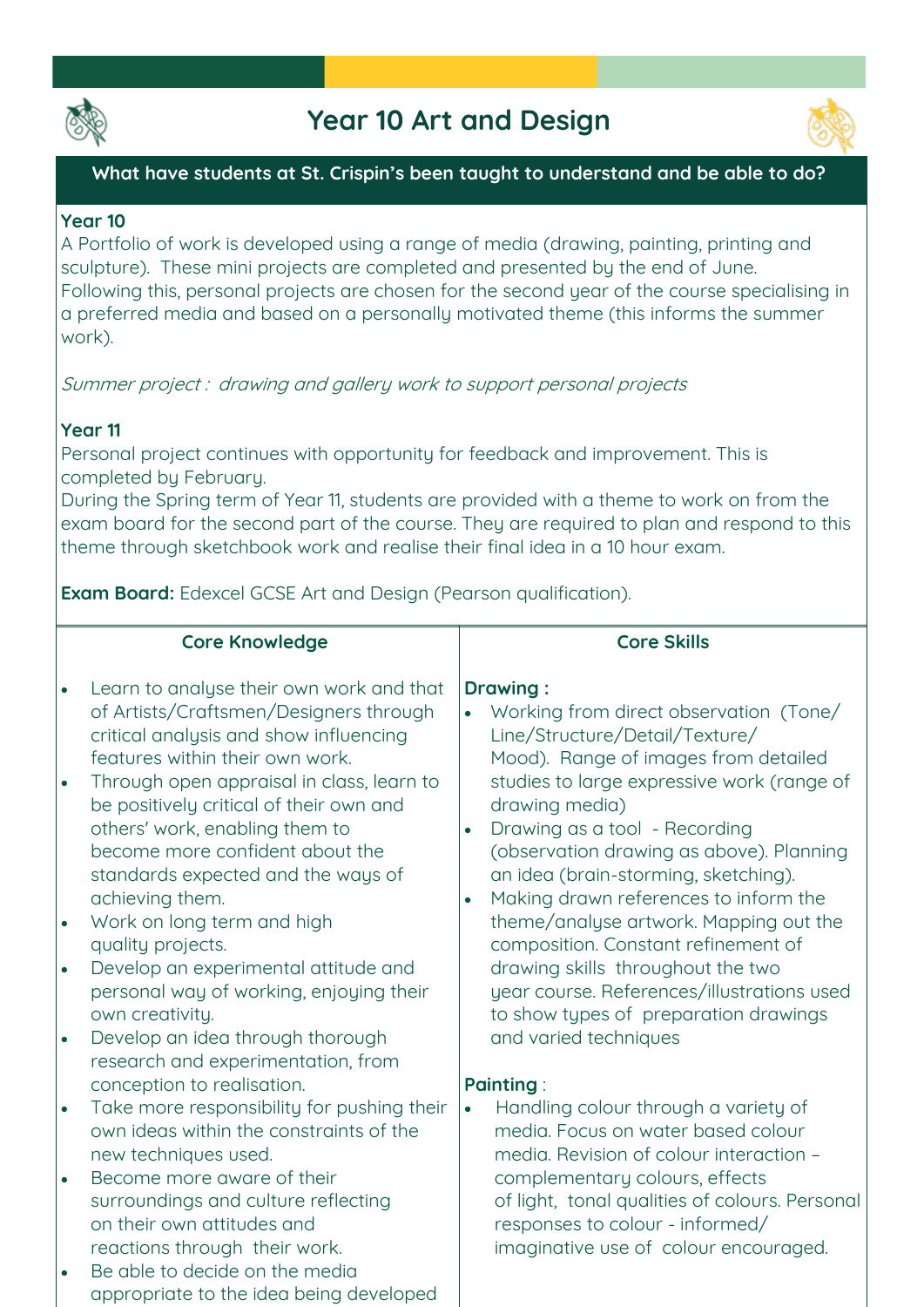

# **Year 10 Art and Design**



## **What have students at St. Crispin's been taught to understand and be able to do?**

### **Year 10**

**A Portfolio of work is developed using a range of media (drawing, painting, printing and sculpture). These mini projects are completed and presented by the end of June. Following this, personal projects are chosen for the second year of the course specialising in a preferred media and based on a personally motivated theme (this informs the summer work).**

**Summer project : drawing and gallery work to support personal projects**

# **Year 11**

**Personal project continues with opportunity for feedback and improvement. This is completed by February.** 

**During the Spring term of Year 11, students are provided with a theme to work on from the exam board for the second part of the course. They are required to plan and respond to this theme through sketchbook work and realise their final idea in a 10 hour exam.**

**Exam Board: Edexcel GCSE Art and Design (Pearson qualification).**

|           | <b>Core Knowledge</b>                                                                                                                                                                                              | <b>Core Skills</b>                                                                                                                                                                                                         |
|-----------|--------------------------------------------------------------------------------------------------------------------------------------------------------------------------------------------------------------------|----------------------------------------------------------------------------------------------------------------------------------------------------------------------------------------------------------------------------|
| $\bullet$ | Learn to analyse their own work and that<br>of Artists/Craftsmen/Designers through<br>critical analysis and show influencing<br>features within their own work.                                                    | <b>Drawing:</b><br>Working from direct observation (Tone/<br>Line/Structure/Detail/Texture/<br>Mood). Range of images from detailed                                                                                        |
| $\bullet$ | Through open appraisal in class, learn to<br>be positively critical of their own and<br>others' work, enabling them to<br>become more confident about the<br>standards expected and the ways of<br>achieving them. | studies to large expressive work (range of<br>drawing media)<br>Drawing as a tool - Recording<br>(observation drawing as above). Planning<br>an idea (brain-storming, sketching).<br>Making drawn references to inform the |
| $\bullet$ | Work on long term and high<br>quality projects.                                                                                                                                                                    | theme/analyse artwork. Mapping out the<br>composition. Constant refinement of                                                                                                                                              |
| $\bullet$ | Develop an experimental attitude and<br>personal way of working, enjoying their<br>own creativity.                                                                                                                 | drawing skills throughout the two<br>year course. References/illustrations used<br>to show types of preparation drawings                                                                                                   |
| $\bullet$ | Develop an idea through thorough<br>research and experimentation, from<br>conception to realisation.                                                                                                               | and varied techniques<br><b>Painting:</b>                                                                                                                                                                                  |
| $\bullet$ | Take more responsibility for pushing their<br>own ideas within the constraints of the<br>new techniques used.                                                                                                      | Handling colour through a variety of<br>$\bullet$<br>media. Focus on water based colour<br>media. Revision of colour interaction -                                                                                         |
| $\bullet$ | Become more aware of their<br>surroundings and culture reflecting<br>on their own attitudes and<br>reactions through their work.                                                                                   | complementary colours, effects<br>of light, tonal qualities of colours. Personal<br>responses to colour - informed/<br>imaginative use of colour encouraged.                                                               |
|           | Be able to decide on the media<br>appropriate to the idea being developed                                                                                                                                          |                                                                                                                                                                                                                            |